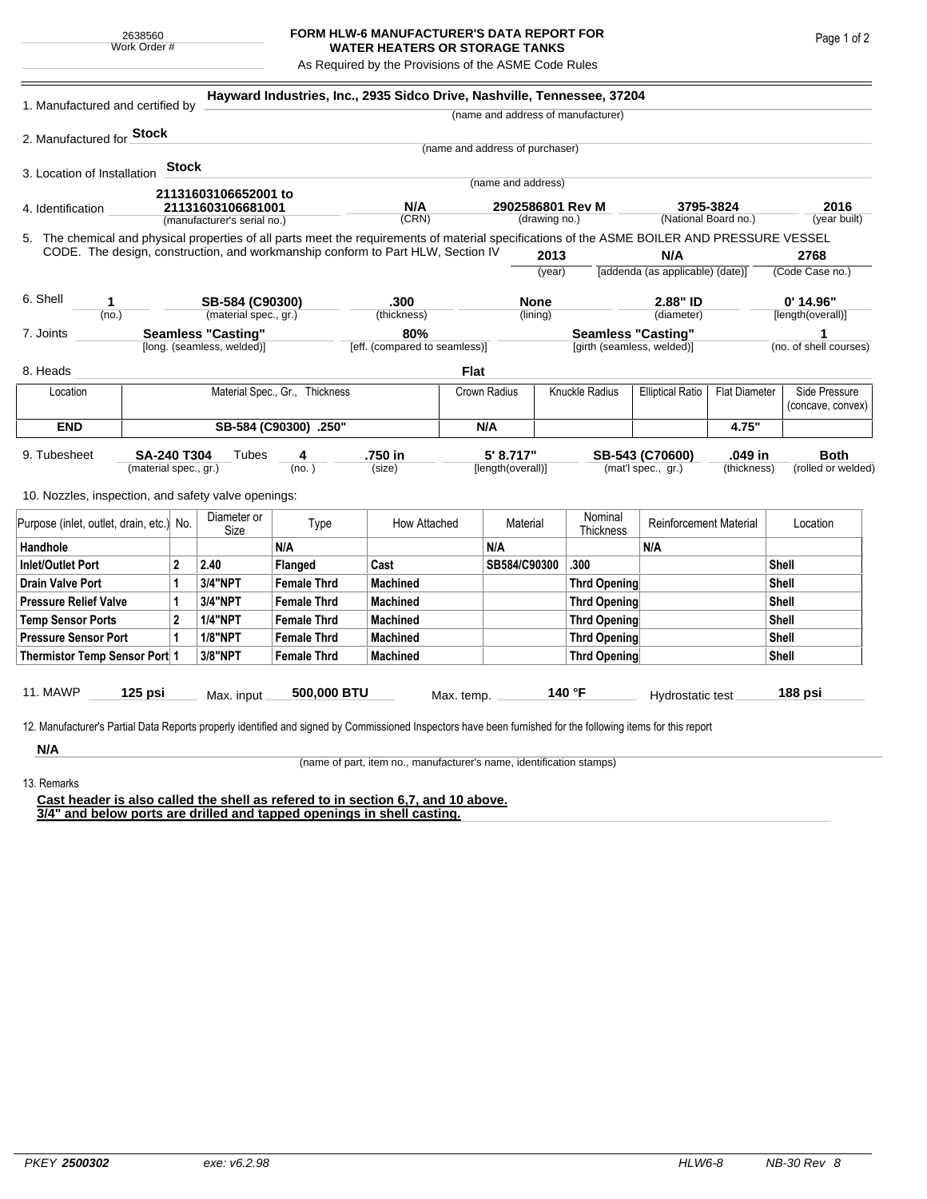## **FORM HLW-6 MANUFACTURER'S DATA REPORT FOR WATER HEATERS OR STORAGE TANKS**

As Required by the Provisions of the ASME Code Rules

| 1. Manufactured and certified by                                                                                                                                                                                                       |                                |              |                             | Hayward Industries, Inc., 2935 Sidco Drive, Nashville, Tennessee, 37204 |                     |                                 |                    |                                                         |                                       |                                   |                             |                                   |                                    |  |
|----------------------------------------------------------------------------------------------------------------------------------------------------------------------------------------------------------------------------------------|--------------------------------|--------------|-----------------------------|-------------------------------------------------------------------------|---------------------|---------------------------------|--------------------|---------------------------------------------------------|---------------------------------------|-----------------------------------|-----------------------------|-----------------------------------|------------------------------------|--|
|                                                                                                                                                                                                                                        |                                |              |                             |                                                                         |                     |                                 |                    |                                                         | (name and address of manufacturer)    |                                   |                             |                                   |                                    |  |
| 2. Manufactured for <b>Stock</b>                                                                                                                                                                                                       |                                |              |                             |                                                                         |                     |                                 |                    |                                                         |                                       |                                   |                             |                                   |                                    |  |
|                                                                                                                                                                                                                                        |                                |              |                             |                                                                         |                     | (name and address of purchaser) |                    |                                                         |                                       |                                   |                             |                                   |                                    |  |
| 3. Location of Installation                                                                                                                                                                                                            |                                | <b>Stock</b> |                             |                                                                         |                     |                                 |                    |                                                         |                                       |                                   |                             |                                   |                                    |  |
|                                                                                                                                                                                                                                        |                                |              | 21131603106652001 to        |                                                                         |                     |                                 | (name and address) |                                                         |                                       |                                   |                             |                                   |                                    |  |
| 4. Identification                                                                                                                                                                                                                      |                                |              | 21131603106681001           |                                                                         | N/A                 |                                 |                    | 2902586801 Rev M                                        |                                       | 3795-3824<br>(National Board no.) |                             | 2016                              |                                    |  |
|                                                                                                                                                                                                                                        |                                |              | (manufacturer's serial no.) |                                                                         | (CRN)               |                                 | (drawing no.)      |                                                         |                                       |                                   |                             | (year built)                      |                                    |  |
| 5. The chemical and physical properties of all parts meet the requirements of material specifications of the ASME BOILER AND PRESSURE VESSEL<br>CODE. The design, construction, and workmanship conform to Part HLW, Section IV<br>N/A |                                |              |                             |                                                                         |                     |                                 |                    |                                                         |                                       |                                   |                             |                                   |                                    |  |
|                                                                                                                                                                                                                                        |                                |              |                             |                                                                         |                     |                                 | 2013<br>(year)     |                                                         | [addenda (as applicable) (date)]      |                                   | 2768<br>(Code Case no.)     |                                   |                                    |  |
|                                                                                                                                                                                                                                        |                                |              |                             |                                                                         |                     |                                 |                    |                                                         |                                       |                                   |                             |                                   |                                    |  |
| 6. Shell<br>1                                                                                                                                                                                                                          |                                |              | SB-584 (C90300)             |                                                                         | .300<br>(thickness) |                                 | <b>None</b>        |                                                         | 2.88" ID                              |                                   | $0'$ 14.96"                 |                                   |                                    |  |
|                                                                                                                                                                                                                                        | (no.)                          |              |                             | (material spec., gr.)                                                   |                     |                                 | (lining)           |                                                         |                                       | (diameter)                        |                             | [length(overall)]                 |                                    |  |
| <b>Seamless "Casting"</b><br>7. Joints<br>[long. (seamless, welded)]                                                                                                                                                                   |                                |              |                             | 80%<br>[eff. (compared to seamless)]                                    |                     |                                 |                    | <b>Seamless "Casting"</b><br>[girth (seamless, welded)] |                                       |                                   | 1<br>(no. of shell courses) |                                   |                                    |  |
|                                                                                                                                                                                                                                        |                                |              |                             |                                                                         |                     |                                 |                    |                                                         |                                       |                                   |                             |                                   |                                    |  |
| 8. Heads                                                                                                                                                                                                                               |                                |              |                             |                                                                         |                     | <b>Flat</b>                     |                    |                                                         |                                       |                                   |                             |                                   |                                    |  |
| Location                                                                                                                                                                                                                               | Material Spec., Gr., Thickness |              |                             |                                                                         | Crown Radius        |                                 |                    | <b>Knuckle Radius</b>                                   |                                       | <b>Elliptical Ratio</b>           | <b>Flat Diameter</b>        |                                   | Side Pressure<br>(concave, convex) |  |
| <b>END</b>                                                                                                                                                                                                                             | SB-584 (C90300) .250"          |              |                             |                                                                         | N/A                 |                                 |                    |                                                         |                                       |                                   | 4.75"                       |                                   |                                    |  |
| 9. Tubesheet<br><b>SA-240 T304</b><br>Tubes<br>4<br>(material spec., gr.)                                                                                                                                                              |                                |              | (no. )                      | .750 in<br>5' 8.717"<br>(size)<br>[length(overall)]                     |                     |                                 |                    |                                                         | SB-543 (C70600)<br>(mat'l spec., gr.) | .049 in<br>(thickness)            |                             | <b>Both</b><br>(rolled or welded) |                                    |  |
| 10. Nozzles, inspection, and safety valve openings:                                                                                                                                                                                    |                                |              |                             |                                                                         |                     |                                 |                    |                                                         |                                       |                                   |                             |                                   |                                    |  |
| Purpose (inlet, outlet, drain, etc.) No.                                                                                                                                                                                               |                                |              | Diameter or<br>Size         | Type                                                                    | How Attached        |                                 | Material           |                                                         | Nominal<br>Thickness                  | <b>Reinforcement Material</b>     |                             | Location                          |                                    |  |
| Handhole                                                                                                                                                                                                                               |                                |              |                             | N/A                                                                     |                     |                                 | N/A                |                                                         |                                       | N/A                               |                             |                                   |                                    |  |
| $\mathbf{2}$<br><b>Inlet/Outlet Port</b>                                                                                                                                                                                               |                                |              | 2.40                        | Flanged                                                                 | Cast                |                                 | SB584/C90300       |                                                         | .300                                  |                                   |                             | Shell                             |                                    |  |
| <b>Drain Valve Port</b><br>1                                                                                                                                                                                                           |                                |              | 3/4"NPT                     | <b>Female Thrd</b>                                                      | <b>Machined</b>     |                                 |                    |                                                         | <b>Thrd Opening</b>                   |                                   |                             | Shell                             |                                    |  |
| <b>Pressure Relief Valve</b><br>1                                                                                                                                                                                                      |                                |              | 3/4"NPT                     | <b>Female Thrd</b>                                                      | <b>Machined</b>     |                                 |                    |                                                         | <b>Thrd Opening</b>                   |                                   |                             | Shell                             |                                    |  |
| $\overline{2}$<br><b>Temp Sensor Ports</b>                                                                                                                                                                                             |                                |              | <b>1/4"NPT</b>              | <b>Female Thrd</b>                                                      | <b>Machined</b>     |                                 |                    |                                                         | <b>Thrd Opening</b>                   |                                   |                             | Shell                             |                                    |  |
| <b>Pressure Sensor Port</b>                                                                                                                                                                                                            |                                | 1            | <b>1/8"NPT</b>              | <b>Female Thrd</b>                                                      | <b>Machined</b>     |                                 |                    |                                                         | <b>Thrd Opening</b>                   |                                   |                             |                                   | Shell                              |  |
| Thermistor Temp Sensor Port 1                                                                                                                                                                                                          |                                |              | 3/8"NPT                     | <b>Female Thrd</b>                                                      | <b>Machined</b>     |                                 |                    |                                                         | <b>Thrd Opening</b>                   |                                   |                             | Shell                             |                                    |  |
| 11. MAWP<br>$125$ psi                                                                                                                                                                                                                  |                                | Max. input   | 500,000 BTU                 |                                                                         |                     | 140 °F<br>Max. temp.            |                    |                                                         | Hydrostatic test                      |                                   | 188 psi                     |                                   |                                    |  |
| 12. Manufacturer's Partial Data Reports properly identified and signed by Commissioned Inspectors have been furnished for the following items for this report                                                                          |                                |              |                             |                                                                         |                     |                                 |                    |                                                         |                                       |                                   |                             |                                   |                                    |  |
| N/A                                                                                                                                                                                                                                    |                                |              |                             |                                                                         |                     |                                 |                    |                                                         |                                       |                                   |                             |                                   |                                    |  |

13. Remarks

(name of part, item no., manufacturer's name, identification stamps)

**Cast header is also called the shell as refered to in section 6,7, and 10 above. 3/4" and below ports are drilled and tapped openings in shell casting.**